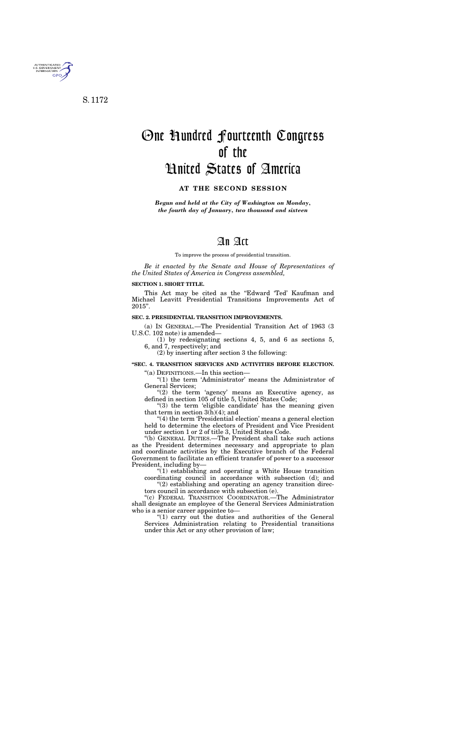

S. 1172

# One Hundred Fourteenth Congress of the United States of America

#### **AT THE SECOND SESSION**

*Begun and held at the City of Washington on Monday, the fourth day of January, two thousand and sixteen* 

## An Act

To improve the process of presidential transition.

*Be it enacted by the Senate and House of Representatives of the United States of America in Congress assembled,* 

#### **SECTION 1. SHORT TITLE.**

This Act may be cited as the ''Edward 'Ted' Kaufman and Michael Leavitt Presidential Transitions Improvements Act of 2015''.

"(1) the term 'Administrator' means the Administrator of General Services;

"(2) the term 'agency' means an Executive agency, as defined in section 105 of title 5, United States Code;

" $(3)$  the term 'eligible candidate' has the meaning given that term in section  $3(h)(4)$ ; and

#### **SEC. 2. PRESIDENTIAL TRANSITION IMPROVEMENTS.**

(a) IN GENERAL.—The Presidential Transition Act of 1963 (3 U.S.C. 102 note) is amended—

"(4) the term 'Presidential election' means a general election held to determine the electors of President and Vice President under section 1 or 2 of title 3, United States Code.

(1) by redesignating sections 4, 5, and 6 as sections 5, 6, and 7, respectively; and

(2) by inserting after section 3 the following:

**''SEC. 4. TRANSITION SERVICES AND ACTIVITIES BEFORE ELECTION.** 

''(a) DEFINITIONS.—In this section—

"(2) establishing and operating an agency transition directors council in accordance with subsection (e).

''(b) GENERAL DUTIES.—The President shall take such actions as the President determines necessary and appropriate to plan and coordinate activities by the Executive branch of the Federal Government to facilitate an efficient transfer of power to a successor President, including by—

''(1) establishing and operating a White House transition coordinating council in accordance with subsection (d); and

''(c) FEDERAL TRANSITION COORDINATOR.—The Administrator shall designate an employee of the General Services Administration who is a senior career appointee to—

''(1) carry out the duties and authorities of the General Services Administration relating to Presidential transitions under this Act or any other provision of law;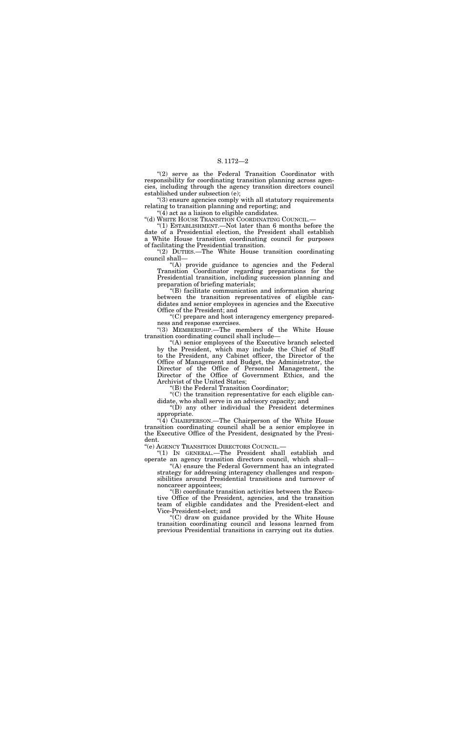"(2) serve as the Federal Transition Coordinator with responsibility for coordinating transition planning across agencies, including through the agency transition directors council established under subsection (e);

''(3) ensure agencies comply with all statutory requirements relating to transition planning and reporting; and

''(4) act as a liaison to eligible candidates.

''(d) WHITE HOUSE TRANSITION COORDINATING COUNCIL.—

''(1) ESTABLISHMENT.—Not later than 6 months before the date of a Presidential election, the President shall establish a White House transition coordinating council for purposes of facilitating the Presidential transition.

''(2) DUTIES.—The White House transition coordinating council shall—

''(A) provide guidance to agencies and the Federal Transition Coordinator regarding preparations for the Presidential transition, including succession planning and preparation of briefing materials;

 $\widetilde{C}(C)$  the transition representative for each eligible candidate, who shall serve in an advisory capacity; and

''(B) facilitate communication and information sharing between the transition representatives of eligible candidates and senior employees in agencies and the Executive Office of the President; and

"(4) CHAIRPERSON.—The Chairperson of the White House transition coordinating council shall be a senior employee in the Executive Office of the President, designated by the President.

''(C) prepare and host interagency emergency preparedness and response exercises.

''(3) MEMBERSHIP.—The members of the White House transition coordinating council shall include—

''(A) senior employees of the Executive branch selected by the President, which may include the Chief of Staff to the President, any Cabinet officer, the Director of the Office of Management and Budget, the Administrator, the Director of the Office of Personnel Management, the Director of the Office of Government Ethics, and the Archivist of the United States;

''(B) the Federal Transition Coordinator;

''(D) any other individual the President determines appropriate.

''(e) AGENCY TRANSITION DIRECTORS COUNCIL.—

''(1) IN GENERAL.—The President shall establish and operate an agency transition directors council, which shall—

''(A) ensure the Federal Government has an integrated strategy for addressing interagency challenges and responsibilities around Presidential transitions and turnover of noncareer appointees;

''(B) coordinate transition activities between the Executive Office of the President, agencies, and the transition team of eligible candidates and the President-elect and Vice-President-elect; and

''(C) draw on guidance provided by the White House transition coordinating council and lessons learned from previous Presidential transitions in carrying out its duties.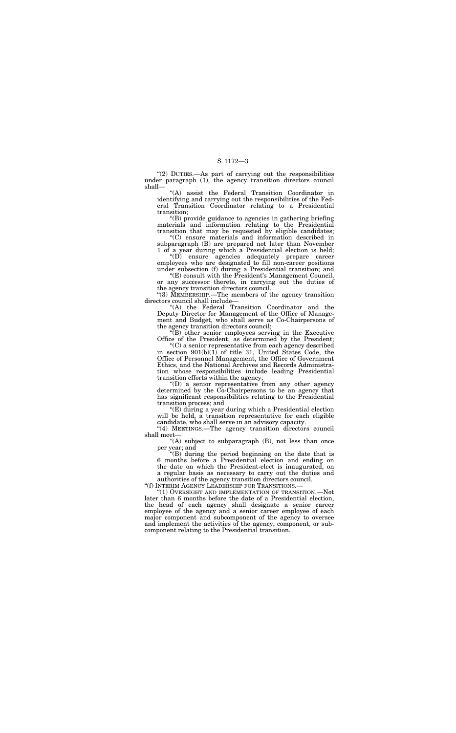"(2) DUTIES.—As part of carrying out the responsibilities under paragraph (1), the agency transition directors council shall—

''(B) provide guidance to agencies in gathering briefing materials and information relating to the Presidential transition that may be requested by eligible candidates;

''(A) assist the Federal Transition Coordinator in identifying and carrying out the responsibilities of the Federal Transition Coordinator relating to a Presidential transition;

"(E) consult with the President's Management Council, or any successor thereto, in carrying out the duties of the agency transition directors council.

''(C) ensure materials and information described in subparagraph (B) are prepared not later than November 1 of a year during which a Presidential election is held;

''(D) ensure agencies adequately prepare career employees who are designated to fill non-career positions under subsection (f) during a Presidential transition; and

"(D) a senior representative from any other agency determined by the Co-Chairpersons to be an agency that has significant responsibilities relating to the Presidential transition process; and

''(3) MEMBERSHIP.—The members of the agency transition directors council shall include—

"(4) MEETINGS.—The agency transition directors council shall meet—

" $(A)$  subject to subparagraph  $(B)$ , not less than once per year; and

''(A) the Federal Transition Coordinator and the Deputy Director for Management of the Office of Management and Budget, who shall serve as Co-Chairpersons of the agency transition directors council;

''(B) other senior employees serving in the Executive Office of the President, as determined by the President;

 $^{\prime\prime}(1)$  Oversight and implementation of transition.—Not later than 6 months before the date of a Presidential election, the head of each agency shall designate a senior career employee of the agency and a senior career employee of each major component and subcomponent of the agency to oversee and implement the activities of the agency, component, or subcomponent relating to the Presidential transition.

''(C) a senior representative from each agency described in section 901(b)(1) of title 31, United States Code, the Office of Personnel Management, the Office of Government Ethics, and the National Archives and Records Administration whose responsibilities include leading Presidential transition efforts within the agency;

''(E) during a year during which a Presidential election will be held, a transition representative for each eligible candidate, who shall serve in an advisory capacity.

''(B) during the period beginning on the date that is 6 months before a Presidential election and ending on the date on which the President-elect is inaugurated, on a regular basis as necessary to carry out the duties and

authorities of the agency transition directors council.<br>"(f) INTERIM AGENCY LEADERSHIP FOR TRANSITIONS.—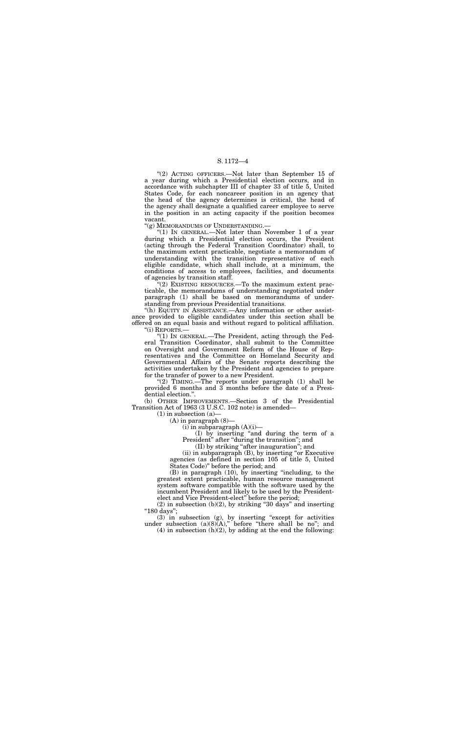"(2) ACTING OFFICERS.—Not later than September 15 of a year during which a Presidential election occurs, and in accordance with subchapter III of chapter 33 of title 5, United States Code, for each noncareer position in an agency that the head of the agency determines is critical, the head of the agency shall designate a qualified career employee to serve in the position in an acting capacity if the position becomes vacant.

''(g) MEMORANDUMS OF UNDERSTANDING.—

"(1) In GENERAL.—Not later than November 1 of a year during which a Presidential election occurs, the President (acting through the Federal Transition Coordinator) shall, to the maximum extent practicable, negotiate a memorandum of understanding with the transition representative of each eligible candidate, which shall include, at a minimum, the conditions of access to employees, facilities, and documents of agencies by transition staff.

 $f''(2)$  EXISTING RESOURCES.—To the maximum extent practicable, the memorandums of understanding negotiated under paragraph (1) shall be based on memorandums of understanding from previous Presidential transitions.

"(h) EQUITY IN ASSISTANCE.—Any information or other assistance provided to eligible candidates under this section shall be offered on an equal basis and without regard to political affiliation. "(i) REPORTS.-

"(2) TIMING.—The reports under paragraph (1) shall be provided 6 months and 3 months before the date of a Presidential election.''.

> (I) by inserting ''and during the term of a President" after "during the transition"; and

(ii) in subparagraph (B), by inserting "or Executive agencies (as defined in section 105 of title 5, United States Code)'' before the period; and

 $(2)$  in subsection  $(b)(2)$ , by striking "30 days" and inserting ''180 days'';

(3) in subsection (g), by inserting ''except for activities under subsection  $(a)(8)(A)$ ," before "there shall be no"; and

 $(4)$  in subsection  $(h)(2)$ , by adding at the end the following:

''(1) IN GENERAL.—The President, acting through the Federal Transition Coordinator, shall submit to the Committee on Oversight and Government Reform of the House of Representatives and the Committee on Homeland Security and Governmental Affairs of the Senate reports describing the activities undertaken by the President and agencies to prepare for the transfer of power to a new President.

(b) OTHER IMPROVEMENTS.—Section 3 of the Presidential Transition Act of 1963 (3 U.S.C. 102 note) is amended—

 $(1)$  in subsection  $(a)$ 

(A) in paragraph (8)—

 $(i)$  in subparagraph  $(A)(i)$ —

(II) by striking ''after inauguration''; and

(B) in paragraph (10), by inserting ''including, to the greatest extent practicable, human resource management system software compatible with the software used by the incumbent President and likely to be used by the Presidentelect and Vice President-elect'' before the period;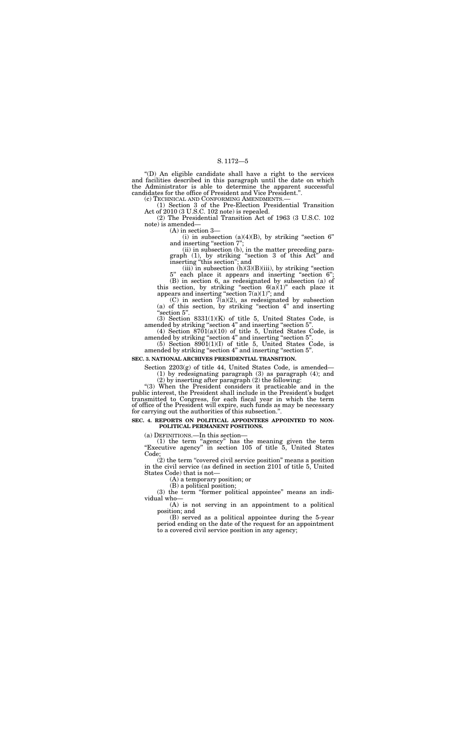''(D) An eligible candidate shall have a right to the services and facilities described in this paragraph until the date on which the Administrator is able to determine the apparent successful candidates for the office of President and Vice President.''.

(1) Section 3 of the Pre-Election Presidential Transition Act of 2010 (3 U.S.C. 102 note) is repealed.

> (ii) in subsection (b), in the matter preceding paragraph  $(1)$ , by striking "section 3 of this  $Act^{\prime\prime}$  and inserting "this section"; and

 $(iii)$  in subsection  $(h)(3)(B)(iii)$ , by striking "section

each place it appears and inserting "section 6"; (B) in section 6, as redesignated by subsection (a) of this section, by striking "section  $6(a)(1)$ " each place it appears and inserting "section  $7(a)(1)$ "; and

 $(C)$  in section  $7(a)(2)$ , as redesignated by subsection (a) of this section, by striking "section 4" and inserting 'section 5".

(2) The Presidential Transition Act of 1963 (3 U.S.C. 102 note) is amended—

(A) in section 3—

(i) in subsection  $(a)(4)(B)$ , by striking "section 6" and inserting "section 7";

(3) Section 8331(1)(K) of title 5, United States Code, is amended by striking "section 4" and inserting "section 5".

 $(4)$  Section 8701 $(a)(10)$  of title 5, United States Code, is amended by striking ''section 4'' and inserting ''section 5''.

(5) Section 8901(1)(I) of title 5, United States Code, is amended by striking "section 4" and inserting "section 5".

''(3) When the President considers it practicable and in the public interest, the President shall include in the President's budget transmitted to Congress, for each fiscal year in which the term of office of the President will expire, such funds as may be necessary for carrying out the authorities of this subsection.'

(3) the term "former political appointee" means an individual who—

#### **SEC. 3. NATIONAL ARCHIVES PRESIDENTIAL TRANSITION.**

Section 2203(g) of title 44, United States Code, is amended— (1) by redesignating paragraph (3) as paragraph (4); and

(2) by inserting after paragraph (2) the following:

#### **SEC. 4. REPORTS ON POLITICAL APPOINTEES APPOINTED TO NON-POLITICAL PERMANENT POSITIONS.**

(a) DEFINITIONS.—In this section—

(1) the term ''agency'' has the meaning given the term "Executive agency" in section 105 of title 5, United States Code;

(2) the term ''covered civil service position'' means a position in the civil service (as defined in section 2101 of title 5, United States Code) that is not—

(A) a temporary position; or

(B) a political position;

(A) is not serving in an appointment to a political position; and

(B) served as a political appointee during the 5-year period ending on the date of the request for an appointment to a covered civil service position in any agency;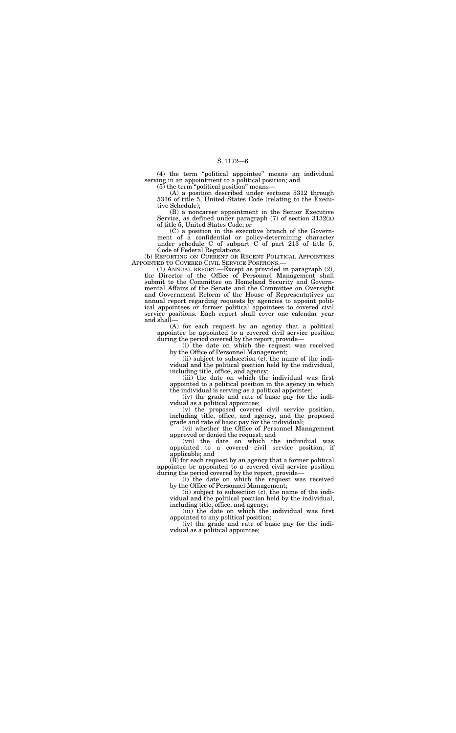(4) the term ''political appointee'' means an individual serving in an appointment to a political position; and

 $(5)$  the term "political position" means-

(A) a position described under sections 5312 through 5316 of title 5, United States Code (relating to the Executive Schedule);

(B) a noncareer appointment in the Senior Executive Service, as defined under paragraph (7) of section 3132(a) of title 5, United States Code; or

(b) REPORTING ON CURRENT OR RECENT POLITICAL APPOINTEES APPOINTED TO COVERED CIVIL SERVICE POSITIONS.— APPOINTED TO COVERED CIVIL SERVICE POSITIONS.— (1) ANNUAL REPORT.—Except as provided in paragraph (2),

(C) a position in the executive branch of the Government of a confidential or policy-determining character under schedule C of subpart C of part 213 of title 5, Code of Federal Regulations.

the Director of the Office of Personnel Management shall submit to the Committee on Homeland Security and Governmental Affairs of the Senate and the Committee on Oversight and Government Reform of the House of Representatives an annual report regarding requests by agencies to appoint political appointees or former political appointees to covered civil service positions. Each report shall cover one calendar year and shall—

 $(\overline{B})$  for each request by an agency that a former political appointee be appointed to a covered civil service position during the period covered by the report, provide—

(A) for each request by an agency that a political appointee be appointed to a covered civil service position during the period covered by the report, provide—

(i) the date on which the request was received by the Office of Personnel Management;

(ii) subject to subsection (c), the name of the individual and the political position held by the individual, including title, office, and agency;

(iii) the date on which the individual was first appointed to a political position in the agency in which the individual is serving as a political appointee;

(iv) the grade and rate of basic pay for the individual as a political appointee;

(v) the proposed covered civil service position, including title, office, and agency, and the proposed grade and rate of basic pay for the individual;

(vi) whether the Office of Personnel Management approved or denied the request; and

(vii) the date on which the individual was appointed to a covered civil service position, if applicable; and

(i) the date on which the request was received by the Office of Personnel Management;

(ii) subject to subsection (c), the name of the individual and the political position held by the individual, including title, office, and agency;

(iii) the date on which the individual was first appointed to any political position;

(iv) the grade and rate of basic pay for the individual as a political appointee;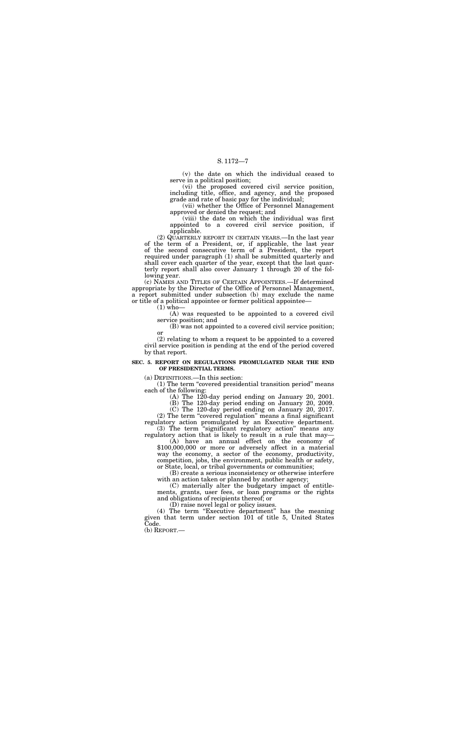(v) the date on which the individual ceased to serve in a political position;

(vi) the proposed covered civil service position, including title, office, and agency, and the proposed grade and rate of basic pay for the individual;

(vii) whether the Office of Personnel Management approved or denied the request; and

(viii) the date on which the individual was first appointed to a covered civil service position, if applicable.

(2) QUARTERLY REPORT IN CERTAIN YEARS.—In the last year of the term of a President, or, if applicable, the last year of the second consecutive term of a President, the report required under paragraph (1) shall be submitted quarterly and shall cover each quarter of the year, except that the last quarterly report shall also cover January 1 through 20 of the following year.

(3) The term ''significant regulatory action'' means any regulatory action that is likely to result in a rule that may—(A) have an annual effect on the economy of

(c) NAMES AND TITLES OF CERTAIN APPOINTEES.—If determined appropriate by the Director of the Office of Personnel Management, a report submitted under subsection (b) may exclude the name or title of a political appointee or former political appointee—

 $(1)$  who-

 $$100,000,000$  or more or adversely affect in a material way the economy, a sector of the economy, productivity, competition, jobs, the environment, public health or safety, or State, local, or tribal governments or communities;

(A) was requested to be appointed to a covered civil service position; and

(B) was not appointed to a covered civil service position; or

(2) relating to whom a request to be appointed to a covered civil service position is pending at the end of the period covered by that report.

(4) The term "Executive department" has the meaning given that term under section 101 of title 5, United States Code.

#### **SEC. 5. REPORT ON REGULATIONS PROMULGATED NEAR THE END OF PRESIDENTIAL TERMS.**

(a) DEFINITIONS.—In this section:

(1) The term ''covered presidential transition period'' means each of the following:

> (A) The 120-day period ending on January 20, 2001. (B) The 120-day period ending on January 20, 2009.

> (C) The 120-day period ending on January 20, 2017.

(2) The term ''covered regulation'' means a final significant regulatory action promulgated by an Executive department.

(B) create a serious inconsistency or otherwise interfere with an action taken or planned by another agency;

(C) materially alter the budgetary impact of entitlements, grants, user fees, or loan programs or the rights and obligations of recipients thereof; or

(D) raise novel legal or policy issues.

(b) REPORT.—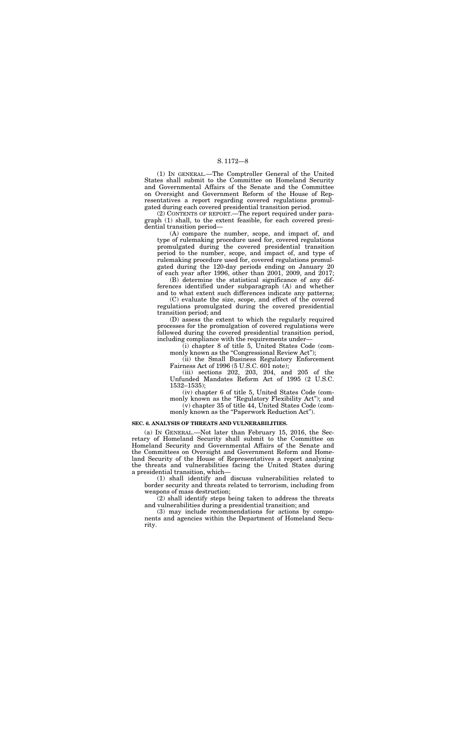(1) IN GENERAL.—The Comptroller General of the United States shall submit to the Committee on Homeland Security and Governmental Affairs of the Senate and the Committee on Oversight and Government Reform of the House of Representatives a report regarding covered regulations promulgated during each covered presidential transition period.

(2) CONTENTS OF REPORT.—The report required under paragraph (1) shall, to the extent feasible, for each covered presidential transition period—

(A) compare the number, scope, and impact of, and type of rulemaking procedure used for, covered regulations promulgated during the covered presidential transition period to the number, scope, and impact of, and type of rulemaking procedure used for, covered regulations promulgated during the 120-day periods ending on January 20 of each year after 1996, other than 2001, 2009, and 2017;

(i) chapter 8 of title 5, United States Code (commonly known as the "Congressional Review Act");

(ii) the Small Business Regulatory Enforcement Fairness Act of 1996 (5 U.S.C. 601 note);

(B) determine the statistical significance of any differences identified under subparagraph (A) and whether and to what extent such differences indicate any patterns;

(C) evaluate the size, scope, and effect of the covered regulations promulgated during the covered presidential transition period; and

(D) assess the extent to which the regularly required processes for the promulgation of covered regulations were followed during the covered presidential transition period, including compliance with the requirements under—

(iii) sections 202, 203, 204, and 205 of the Unfunded Mandates Reform Act of 1995 (2 U.S.C. 1532–1535);

(iv) chapter 6 of title 5, United States Code (commonly known as the "Regulatory Flexibility Act"); and (v) chapter 35 of title 44, United States Code (com-

monly known as the "Paperwork Reduction Act").

#### **SEC. 6. ANALYSIS OF THREATS AND VULNERABILITIES.**

(a) IN GENERAL.—Not later than February 15, 2016, the Secretary of Homeland Security shall submit to the Committee on Homeland Security and Governmental Affairs of the Senate and the Committees on Oversight and Government Reform and Homeland Security of the House of Representatives a report analyzing the threats and vulnerabilities facing the United States during a presidential transition, which—

(1) shall identify and discuss vulnerabilities related to border security and threats related to terrorism, including from weapons of mass destruction;

(2) shall identify steps being taken to address the threats and vulnerabilities during a presidential transition; and

(3) may include recommendations for actions by components and agencies within the Department of Homeland Security.